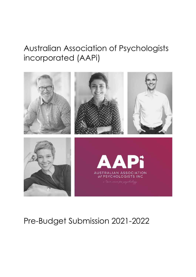# Australian Association of Psychologists incorporated (AAPi)



# Pre-Budget Submission 2021-2022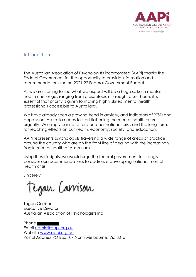

### Introduction

The Australian Association of Psychologists incorporated (AAPi) thanks the Federal Government for the opportunity to provide information and recommendations for the 2021-22 Federal Government Budget.

As we are starting to see what we expect will be a huge spike in mental health challenges ranging from presenteeism through to self-harm, it is essential that priority is given to making highly skilled mental health professionals accessible to Australians.

We have already seen a growing trend in anxiety, and indicators of PTSD and depression. Australia needs to start flattening the mental health curve urgently. We simply cannot afford another national crisis and the long-term, far reaching effects on our health, economy, society, and education.

AAPi represents psychologists traversing a wide range of areas of practice around the country who are on the front line of dealing with the increasingly fragile mental health of Australians.

Using these insights, we would urge the federal government to strongly consider our recommendations to address a developing national mental health crisis.

Sincerely,

Tegan Carrison

**Tegan Carrison** Executive Director Australian Association of Psychologists Inc

Phone Email admin@aapi.org.au Website www.aapi.org.au Postal Address PO Box 107 North Melbourne, Vic 3015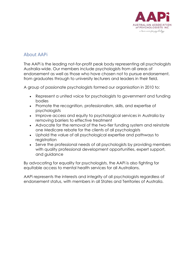

## About AAPi

The AAPi is the leading not-for-profit peak body representing all psychologists Australia-wide. Our members include psychologists from all areas of endorsement as well as those who have chosen not to pursue endorsement, from graduates through to university lecturers and leaders in their field.

A group of passionate psychologists formed our organisation in 2010 to:

- Represent a united voice for psychologists to government and funding bodies
- Promote the recognition, professionalism, skills, and expertise of psychologists
- Improve access and equity to psychological services in Australia by removing barriers to effective treatment
- Advocate for the removal of the two-tier funding system and reinstate one Medicare rebate for the clients of all psychologists
- Uphold the value of all psychological expertise and pathways to registration
- Serve the professional needs of all psychologists by providing members with quality professional development opportunities, expert support, and guidance

By advocating for equality for psychologists, the AAPi is also fighting for equitable access to mental health services for all Australians.

AAPi represents the interests and integrity of all psychologists regardless of endorsement status, with members in all States and Territories of Australia.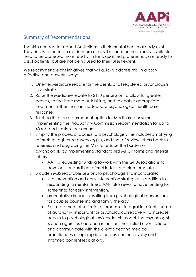

## Summary of Recommendations

The skills needed to support Australians in their mental health already exist. They simply need to be made more accessible and for the already available help to be accessed more readily. In fact, qualified professionals are ready to assist patients, but are not being used to their fullest extent.

We recommend eight initiatives that will quickly address this, in a costeffective and powerful way:

- 1. One-tier Medicare rebate for the clients of all registered psychologists in Australia.
- 2. Raise the Medicare rebate to \$150 per session to allow for greater access, to facilitate more bulk billing, and to enable appropriate treatment rather than an inadequate psychological health care response.
- 3. Telehealth to be a permanent option for Medicare consumers
- 4. Implementing the Productivity Commission recommendation for up to 40 rebated sessions per annum.
- 5. Simplify the process of access to a psychologist. This includes simplifying referrals to registered psychologists, and that of review letters back to referrers, and upgrading the MBS to reduce the burden on psychologists by implementing standardised MHCP forms and referral letters.
	- AAPi is requesting funding to work with the GP Associations to develop standardised referral letters and plan templates
- 6. Broaden MBS rebatable sessions to psychologists to incorporate:
	- vital prevention and early intervention strategies in addition to responding to mental illness. AAPi also seeks to have funding for screenings for early intervention.
	- preventative impacts resulting from psychological interventions for couples counselling and family therapy
	- Re-instatement of self-referral processes integral for client's sense of autonomy, important for psychological recovery, to increase access to psychological services. In this model, the psychologist is once again, as had been in earlier times, relied upon to liaise and communicate with the client's treating medical practitioner/s as appropriate and as per the privacy and informed consent legislations.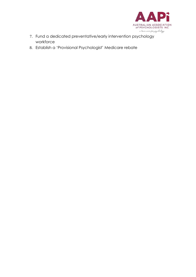

- 7. Fund a dedicated preventative/early intervention psychology workforce
- 8. Establish a 'Provisional Psychologist' Medicare rebate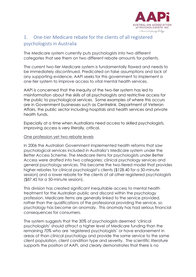

# 1. One-tier Medicare rebate for the clients of all registered psychologists in Australia

The Medicare system currently puts psychologists into two different categories that see them on two different rebate amounts for patients.

The current two-tier Medicare system is fundamentally flawed and needs to be immediately discontinued. Predicated on false assumptions and lack of any supporting evidence, AAPi seeks for this government to implement a one-tier system to improve access to vital mental health services.

AAPi is concerned that the inequity of the two-tier system has led to misinformation about the skills of all psychologists and restrictive access for the public to psychological services. Some examples of where this occurs are in Government businesses such as Centrelink, Department of Veteran Affairs, the public sector including hospitals and health services and private health funds.

Especially at a time when Australians need access to skilled psychologists, improving access is very literally, critical.

#### One profession yet two rebate levels

In 2006 the Australian Government implemented health reforms that saw psychological services included in Australia's Medicare system under the Better Access Scheme. The Medicare items for psychologists under Better Access were drafted into two categories: clinical psychology services and general psychology services. This became the two-tiered model that provides higher rebates for clinical psychologist's clients (\$128.40 for a 50-minute session) and a lower rebate for the clients of all other registered psychologists (\$87.45 for a 50-minute session).

This division has created significant inequitable access to mental health treatment for the Australian public and discord within the psychology profession. Medicare items are generally linked to the service provided, rather than the qualifications of the professional providing the service, so psychology has become an anomaly. This anomaly has had serious financial consequences for consumers.

The system suggests that the 30% of psychologists deemed 'clinical psychologists' should attract a higher level of Medicare funding than the remaining 70% who are 'registered psychologists' or have endorsement in areas of than clinical psychology and provide the same service to the same client population, client condition type and severity. The scientific literature supports the position of AAPi, and clearly demonstrates that there is no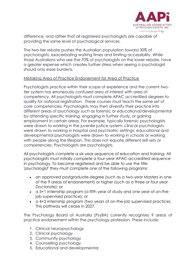

difference, and rather that all registered psychologists are capable of providing the same level of psychological services.

The two-tier rebate pushes the Australian population toward 30% of psychologists, exacerbating waiting times and limiting accessibility. While those Australians who see the 70% of psychologists on the lower rebate, have a greater expense which creates further stress when seeing a psychologist should only ease burdens.

#### Mistaking Area of Practice Endorsement for Area of Practice

Psychologists practice within their scope of experience and the current twotier system has erroneously confused area of interest with area of competency. All psychologists must complete APAC accredited degrees to qualify for national registration. These courses must teach the same set of core competencies. Psychologists may then diversify their practice into different areas of psychology such as forensic or educational/developmental by attending specific training, engaging in further study, or gaining employment in certain areas. For example, typically forensic psychologists were drawn to working in the juvenile justice system; clinical psychologists were drawn to working in hospital and psychiatric settings; educational and developmental psychologists were drawn to working in schools or working with people along the lifespan. This does not equate different skill sets or competencies. Psychologists are psychologists.

All psychologists complete a six-year sequence of education and training. All psychologists must initially complete a four-year APAC-accredited sequence in psychology. To become registered and be able to use the title 'psychologist' they must complete one of the following programs:

- an approved postgraduate degree (such as a two-year Masters in one of the 9 areas of endorsement) or higher (such as a three or four year Doctorate); or
- a 5+1 internship program (a fifth year of study and one year of on-thejob supervised practice); or
- a 4+2 internship program (two years of on-the-job supervised practice). This pathway will cease in 2027.

The Psychology Board of Australia (PsyBA) currently recognises 9 areas of practice endorsement within the psychology profession. These include;

- 1. Clinical neuropsychology
- 2. Clinical psychology
- 3. Community psychology
- 4. Counselling psychology
- 5. Educational and developmental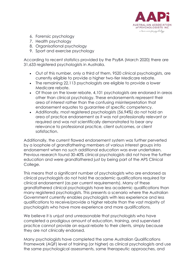

- 6. Forensic psychology
- 7. Health psychology
- 8. Organisational psychology
- 9. Sport and exercise psychology

According to recent statistics provided by the PsyBA (March 2020) there are 31,633 registered psychologists in Australia.

- Out of this number, only a third of them, 9520 clinical psychologists, are currently eligible to provide a higher two-tier Medicare rebate.
- The remaining 22,113 psychologists are eligible to provide a lower Medicare rebate.
- Of those on the lower rebate, 4,101 psychologists are endorsed in areas other than clinical psychology. These endorsements represent their area of interest rather than the confusing misinterpretation that endorsement equates to guarantee of specific competency.
- Additionally, most registered psychologists (56.94%) do not hold an area of practice endorsement as it was not professionally relevant or required and was not scientifically demonstrated to bear any relevance to professional practice, client outcomes, or client satisfaction.

Additionally, the current flawed endorsement system was further perverted by a loophole of grandfathering members of various interest groups into endorsement when no such additional education was ever undertaken. Previous research found 30-40% clinical psychologists did not have the further education and were grandfathered just by being part of the APS Clinical College.

This means that a significant number of psychologists who are endorsed as clinical psychologists do not hold the academic qualifications required for clinical endorsement (as per current requirements). Many of these grandfathered clinical psychologists have less academic qualifications than many registered psychologists. This presents a scenario where the Australian Government currently enables psychologists with less experience and less qualifications to receive/provide a higher rebate than the vast majority of psychologists who have more experience and more qualifications.

We believe it is unjust and unreasonable that psychologists who have completed a prodigious amount of education, training, and supervised practice cannot provide an equal rebate to their clients, simply because they are not clinically endorsed.

Many psychologists have completed the same Australian Qualifications Framework (AQF) level of training (or higher) as clinical psychologists and use the same psychological assessments, same therapeutic approaches, and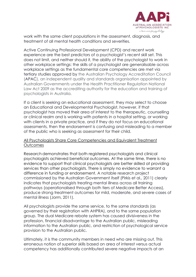

work with the same client populations in the assessment, diagnosis, and treatment of all mental health conditions and severities.

Active Continuing Professional Development (CPD) and recent work experience are the best predictors of a psychologist's recent skill set. This does not limit, and neither should it, the ability of the psychologist to work in other workplace settings: the skills of a psychologist are generalisable across workplace settings as the fundamental core competencies are met via tertiary studies approved by the Australian Psychology Accreditation Council (APAC), an independent quality and standards organisation appointed by Australian Governments under the Health Practitioner Regulation National Law Act 2009 as the accrediting authority for the education and training of psychologists in Australia.

If a client is seeking an educational assessment, they may select to choose an Educational and Developmental Psychologist, however, if that psychologist has moved their area of interest to the therapeutic, counselling or clinical realm and is working with patients in a hospital setting, or working with clients in a private practice, and if they do not focus on educational assessments, then the endorsement is confusing and misleading to a member of the public who is seeking as assessment for their child.

#### All Psychologists Share Core Competencies and Equivalent Treatment **Outcomes**

Research demonstrates that both registered psychologists and clinical psychologists achieved beneficial outcomes. At the same time, there is no evidence to support that clinical psychologists are better skilled at providing services than other psychologists. There is simply no evidence to warrant a difference in funding or endorsement. A notable research project commissioned by the Australian Government itself (Pirkis et al., 2011) clearly indicates that psychologists treating mental illness across all training pathways (operationalised through both tiers of Medicare Better Access), produce strong treatment outcomes for mild, moderate, and severe cases of mental illness (Jorm, 2011).

All psychologists provide the same service, to the same standards (as governed by their registration with AHPRA), and to the same population group. The dual Medicare rebate system has caused divisiveness in the profession, financial disadvantage to the Australian public, misleading information to the Australian public, and restriction of psychological service provision to the Australian public.

Ultimately, it is the community members in need who are missing out. This erroneous notion of superior skills based on area of interest versus actual competency has additionally contributed severe negative impacts at an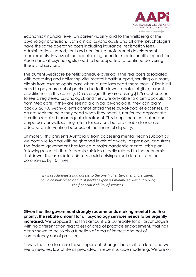

economic/financial level, on career viability and to the wellbeing of the psychology profession. Both clinical psychologists and all other psychologists have the same operating costs including insurance, registration fees, administration support, rent and continuing professional development requirements. In view of the accelerating need for mental health support for Australians, all psychologists need to be supported to continue delivering these vital services.

The current Medicare Benefits Schedule overlooks the real costs associated with accessing and delivering vital mental health support, shutting out many clients from psychologists' care when Australians need them most. Clients still need to pay more out of pocket due to the lower rebates eligible to most practitioners in the country. On average, they are paying \$175 each session to see a registered psychologist, and they are only able to claim back \$87.45 from Medicare. If they are seeing a clinical psychologist, they can claim back \$128.40. Many clients cannot afford these out-of-pocket expenses, so do not seek the help they need when they need it, nor for the appropriate duration required for adequate treatment. This keeps them untreated and perpetually unwell, so they return for services but are unable to receive adequate intervention because of the financial disparity.

Ultimately, this prevents Australians from accessing mental health support as we continue to deal with heightened levels of anxiety, depression, and stress. The federal government has tabled a major pandemic mental crisis plan following research that forecasts suicides directly related to the economic shutdown. The associated distress could outstrip direct deaths from the coronavirus by 10 times.

> *If all psychologists had access to the one higher tier, then more clients could be bulk billed or out of pocket expenses minimised without risking the financial viability of services.*

**Given that the government strongly recommends making mental health a priority, the rebate amount for all psychology services needs to be urgently increased.** We proposed that this amount is \$150 rebate for all psychologists with no differentiation regardless of area of practice endorsement, that has been shown to be solely a function of area of interest and not of competency nor of practice.

Now is the time to make these important changes before it too late, and we see a needless loss of life as predicted in recent suicide modelling. We are on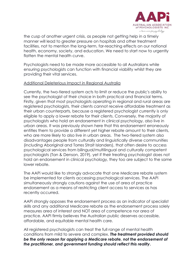

the cusp of another urgent crisis, as people not getting help in a timely manner will lead to greater pressure on hospitals and other treatment facilities, not to mention the long-term, far-reaching effects on our national health, economy, society, and education. We need to start now to urgently flatten the mental health curve.

Psychologists need to be made more accessible to all Australians while ensuring psychologists can function with financial viability whilst they are providing their vital services.

#### Additional Deleterious Impact in Regional Australia

Currently, the two-tiered system acts to limit or reduce the public's ability to see the psychologist of their choice in both practical and financial terms. Firstly, given that most psychologists operating in regional and rural areas are registered psychologists, their clients cannot receive affordable treatment as their urban counterparts, because a registered psychologist currently is only eligible to apply a lower rebate for their clients. Conversely, the majority of psychologists who hold an endorsement in clinical psychology, also live in urban areas. It was previously shown here that this endorsement erroneously entitles them to provide a different yet higher rebate amount to their clients, who are more likely to also live in urban areas. The two-tiered system also disadvantages people from culturally and linguistically diverse communities (including Aboriginal and Torres Strait Islanders), that often desire to access psychological services from bilingual/multilingual and culturally competent psychologists (Tan & Denson, 2019), yet if their treating psychologist does not hold an endorsement in clinical psychology, they too are subject to the same lower rebate.

The AAPi would like to strongly advocate that one Medicare rebate system be implemented for clients accessing psychological services. The AAPi simultaneously strongly cautions against the use of area of practice endorsement as a means of restricting client access to services as has recently occurred.

AAPi strongly opposes the endorsement process as an indicator of specialist skills and any additional Medicare rebate as the endorsement process solely measures area of interest and NOT area of competence nor area of practice. AAPi firmly believes the Australian public deserves accessible, affordable, and equitable mental health care.

All registered psychologists can treat the full range of mental health conditions from mild to severe and complex. *The treatment provided should be the only reason for applying a Medicare rebate, not the endorsement of the practitioner, and government funding should reflect this reality***.**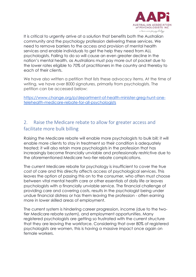

It is critical to urgently arrive at a solution that benefits both the Australian community and the psychology profession delivering these services. We need to remove barriers to the access and provision of mental health services and enable individuals to get the help they need from ALL psychologists. Failing to do so will cause an even greater decline in the nation's mental health, as Australians must pay more out of pocket due to the lower rates eligible to 70% of practitioners in the country and thereby to each of their clients.

We have also written a petition that lists these advocacy items. At the time of writing, we have over 8000 signatures, primarily from psychologists. The petition can be accessed below:

https://www.change.org/p/department-of-health-minister-greg-hunt-onetelehealth-medicare-rebate-for-all-psychologists

# 2. Raise the Medicare rebate to allow for greater access and facilitate more bulk billing

Raising the Medicare rebate will enable more psychologists to bulk bill; it will enable more clients to stay in treatment so their condition is adequately treated; it will also retain more psychologists in the profession that has increasingly become financially unviable and professionally restrictive due to the aforementioned Medicare two-tier rebate complications.

The current Medicare rebate for psychology is insufficient to cover the true cost of care and this directly affects access of psychological services. This leaves the option of passing this on to the consumer, who often must choose between vital mental health care or other essentials of daily life or leaves psychologists with a financially unviable service. The financial challenge of providing care and covering costs, results in the psychologist being under undue financial distress or has them leaving the profession - often earning more in lower skilled areas of employment.

The current system is hindering career progression, income (due to the twotier Medicare rebate system), and employment opportunities. Many registered psychologists are getting so frustrated with the current structure that they are leaving the workforce. Considering that over 80% of registered psychologists are women, this is having a massive impact once again on female workers.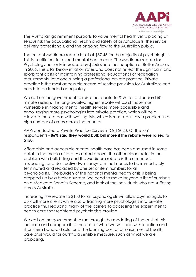

The Australian government purports to value mental health yet is placing at serious risk the occupational health and safety of psychologists, the service delivery professionals, and the ongoing flow to the Australian public.

The current Medicare rebate is set at \$87.45 for the majority of psychologists. This is insufficient for expert mental health care. The Medicare rebate for Psychology has only increased by \$2.65 since the inception of Better Access in 2006. This is far below inflation rates and does not reflect the significant and exorbitant costs of maintaining professional educational or registration requirements, let alone running a professional private practice. Private practice is the most accessible means of service provision for Australians and needs to be funded adequately.

We call on the government to raise the rebate to \$150 for a standard 50 minute session. This long-awaited higher rebate will assist those most vulnerable in making mental health services more accessible and encouraging more psychologists into private practice, which will help alleviate those areas with waiting lists, which is most definitely a problem in a high number of areas across the country.

#### AAPi conducted a Private Practice Survey in Oct 2020. Of the 789 respondents - **86% said they would bulk bill more if the rebate were raised to \$150.**

Affordable and accessible mental health care has been discussed in some detail in the media of late. As noted above, the other clear factor in the problem with bulk billing and the Medicare rebate is the erroneous, misleading, and destructive two-tier system that needs to be immediately terminated and replaced by one set of item numbers for all psychologists. The burden of the national mental health crisis is being propped up by a broken system. We need to move beyond a list of numbers on a Medicare Benefits Scheme, and look at the individuals who are suffering across Australia.

Increasing the rebate to \$150 for all psychologists will allow psychologists to bulk bill more clients while also attracting more psychologists into private practice thus reducing many of the barriers to accessing the expert mental health care that registered psychologists provide.

We call on the government to run through the modelling of the cost of this increase and compare it to the cost of what we will face with inaction and short-term band-aid solutions. The looming cost of a major mental health care crisis would far outstrip a sensible measure, such as what we are proposing.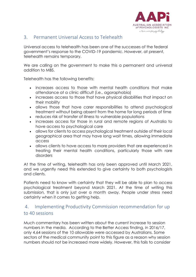

### 3. Permanent Universal Access to Telehealth

Universal access to telehealth has been one of the successes of the federal government's response to the COVID-19 pandemic. However, at present, telehealth remains temporary.

We are calling on the government to make this a permanent and universal addition to MBS.

Telehealth has the following benefits:

- increases access to those with mental health conditions that make attendance at a clinic difficult (i.e., agoraphobia)
- increases access to those that have physical disabilities that impact on their mobility
- allows those that have carer responsibilities to attend psychological treatment without being absent from the home for long periods of time
- reduces risk of transfer of illness to vulnerable populations
- increases access for those in rural and remote regions of Australia to have access to psychological care
- allows for clients to access psychological treatment outside of their local geographical area that may have long wait times, allowing immediate access
- allows clients to have access to more providers that are experienced in treating their mental health conditions, particularly those with rare disorders

At the time of writing, telehealth has only been approved until March 2021, and we urgently need this extended to give certainty to both psychologists and clients.

Patients need to know with certainty that they will be able to plan to access psychological treatment beyond March 2021. At the time of writing this submission, that is only just over a month away. People under stress need certainty when it comes to getting help.

## 4. Implementing Productivity Commission recommendation for up to 40 sessions

Much commentary has been written about the current increase to session numbers in the media. According to the Better Access finding, in 2016/17, only 4.64 sessions of the 10 allowable were accessed by Australians. Some sectors of the medical community point to this figure as a reason why session numbers should not be increased more widely. However, this fails to consider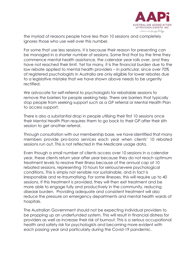

the myriad of reasons people have less than 10 sessions and completely ignores those who use well over this number.

For some that use less sessions, it is because their reason for presenting can be managed in a shorter number of sessions. Some find that by the time they commence mental health assistance, the calendar year rolls over, and they have not reached their limit. Yet for many, it is the financial burden due to the low rebate applied to mental health providers – in particular, since over 70% of registered psychologists in Australia are only eligible for lower rebates due to a legislative mistake that we have shown above needs to be urgently rectified.

We advocate for self-referral to psychologists for rebatable sessions to remove the barriers for people seeking help. There are barriers that typically stop people from seeking support such as a GP referral or Mental Health Plan to access support.

There is also a substantial drop in people utilising their first 10 sessions once their Mental Health Plan requires them to go back to their GP after their 6th session to get another referral.

Through consultation with our membership base, we have identified that many members provide pro-bono services each year when clients' 10 rebated sessions run out. This is not reflected in the Medicare usage data.

Even though a small number of clients access over 10 sessions in a calendar year, these clients return year after year because they do not reach optimum treatment levels to resolve their illness because of the annual cap at 10 rebated sessions, representing 10 hours for serious/severe psychological conditions. This is simply not sensible nor sustainable, and in fact is irresponsible and re-traumatising. For some illnesses, this will require up to 40 sessions. If this treatment is provided, they will then exit treatment and be more able to engage fully and productively in the community, reducing disease burden. Providing adequate and consistent treatment will also reduce the pressure on emergency departments and mental health wards of hospitals.

The Australian Government should not be expecting individual providers to be propping up an underfunded system. This will result in financial distress for providers as well as increase their risk of burnout. This is a serious occupational health and safety risk for psychologists and becoming more evident with each passing year and particularly during the Covid-19 pandemic.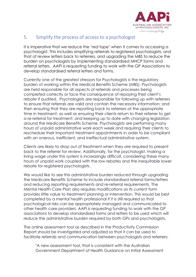

# 5. Simplify the process of access to a psychologist

It is imperative that we reduce the 'red tape' when it comes to accessing a psychologist. This includes simplifying referrals to registered psychologists, and that of review letters back to referrers, and upgrading the MBS to reduce the burden on psychologists by implementing standardised MHCP forms and referral letters. AAPi is requesting funding to work with the GP Associations to develop standardised referral letters and forms.

Currently one of the greatest stressors for Psychologists is the regulatory burden of working within the Medical Benefits Scheme (MBS). Psychologists are held responsible for all aspects of referrals and processes being completed correctly or face the consequence of repaying their client's rebate if audited. Psychologists are responsible for following up with referrers to ensure that referrals are valid and contain the necessary information; and then ensuring that they are reporting back to referrers at the appropriate time in treatment; as well as ensuring their clients return to their referrer to get a re-referral for treatment; and keeping up to date with changing legislation around the Medicare Benefits Scheme. Psychologists are performing many hours of unpaid administrative work each week and requiring their clients to reschedule their important treatment appointments in order to be compliant with an onerous, inefficient, and ineffectual administrative system.

Clients are likely to drop out of treatment when they are required to present back to the referrer for review. Additionally, for the psychologist, making a living wage under this system is increasingly difficult, considering these many hours of unpaid work coupled with the low rebates and the inequitable lower rebate for registered psychologists.

We would like to see this administrative burden reduced through upgrading the Medicare Benefits Scheme to include standardised referral forms/letters and reducing reporting requirements and re-referral requirements. The Mental Health Care Plan also requires modifications as its current form provides little value to treatment planning or intervention. This would be best completed by a mental health professional if it is still required so that psychological risks can be appropriately managed and communicated to other health care providers. AAPi is requesting funding to work with the GP associations to develop standardised forms and letters to be used which will reduce the administrative burden required by both GPs and psychologists.

The online assessment tool as described in the Productivity Commission Report should be investigated and adjusted so that it can be used to facilitate referrals and communication between psychologists and referrers:

"A new assessment tool, that is consistent with the Australian Government Department of Health Guidance on Initial Assessment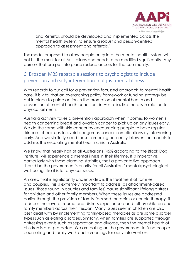

and Referral, should be developed and implemented across the mental health system, to ensure a robust and person-centred approach to assessment and referrals."

The model proposed to allow people entry into the mental health system will not hit the mark for all Australians and needs to be modified significantly. Any barriers that are put into place reduce access for the community.

## 6. Broaden MBS rebatable sessions to psychologists to include prevention and early intervention- not just mental illness

With regards to our call for a prevention focussed approach to mental health care, it is vital that an overarching policy framework or funding strategy be put in place to guide action in the promotion of mental health and prevention of mental health conditions in Australia, like there is in relation to physical ailments.

Australia actively takes a prevention approach when it comes to women's health concerning breast and ovarian cancer to pick up on any issues early. We do the same with skin cancer by encouraging people to have regular skincare check-ups to avoid dangerous cancer complications by intervening early. And we similarly need these screening and early intervention models to address the escalating mental health crisis in Australia.

We know that nearly half of all Australians (45% according to the Black Dog Institute) will experience a mental illness in their lifetime. It is imperative, particularly with these alarming statistics, that a preventative approach should be the government's priority for all Australians' mental/psychological well-being, like it is for physical issues.

An area that is significantly underfunded is the treatment of families and couples. This is extremely important to address, as attachment-based issues (those found in couples and families) cause significant lifelong distress for children and other family members. When these issues are addressed earlier through the provision of family-focused therapies or couple therapy, it reduces the severe trauma and distress experienced and felt by children and family members across their lifespan. Many issues seen in children are also best dealt with by implementing family-based therapies as are some disorder types such as eating disorders. Similarly, when families are supported through distressing events such as separation and divorce, then the mental health of children is best protected. We are calling on the government to fund couple counselling and family work and screenings for early intervention.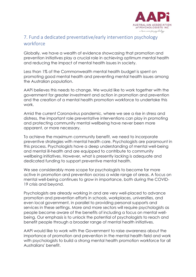

## 7. Fund a dedicated preventative/early intervention psychology workforce

Globally, we have a wealth of evidence showcasing that promotion and prevention initiatives play a crucial role in achieving optimum mental health and reducing the impact of mental health issues in society.

Less than 1% of the Commonwealth mental health budget is spent on promoting good mental health and preventing mental health issues among the Australian population.

AAPi believes this needs to change. We would like to work together with the government for greater investment and action in promotion and prevention and the creation of a mental health promotion workforce to undertake this work.

Amid the current Coronavirus pandemic, where we see a rise in stress and distress, the important role preventative interventions can play in promoting and protecting community mental wellbeing have never been more apparent, or more necessary.

To achieve the maximum community benefit, we need to incorporate preventive strategies with mental health care. Psychologists are paramount in this process. Psychologists have a deep understanding of mental well-being and mental ill-health and are equipped to contribute to community wellbeing initiatives. However, what is presently lacking is adequate and dedicated funding to support preventive mental health.

We see considerably more scope for psychologists to become far more active in promotion and prevention across a wide range of areas. A focus on mental well-being continues to grow in importance, both during the COVID-19 crisis and beyond.

Psychologists are already working in and are very well-placed to advance promotion and prevention efforts in schools, workplaces, universities, and even local government, in parallel to providing personal supports and services in these settings. More and more sectors will require psychologists as people become aware of the benefits of including a focus on mental wellbeing. Our emphasis is to unlock the potential of psychologists to reach and benefit people through a broader range of mental health initiatives.

AAPi would like to work with the Government to raise awareness about the importance of promotion and prevention in the mental health field and work with psychologists to build a strong mental health promotion workforce for all Australians' benefit.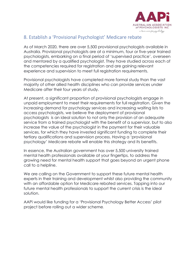

## 8. Establish a 'Provisional Psychologist' Medicare rebate

As of March 2020, there are over 5,500 provisional psychologists available in Australia. Provisional psychologists are at a minimum, four or five-year trained psychologists, embarking on a final period of 'supervised practice', overseen and mentored by a qualified psychologist. They have studied across each of the competencies required for registration and are gaining relevant experience and supervision to meet full registration requirements.

Provisional psychologists have completed more formal study than the vast majority of other allied health disciplines who can provide services under Medicare after their four years of study.

At present, a significant proportion of provisional psychologists engage in unpaid employment to meet their requirements for full registration. Given the increasing demand for psychology services and increasing waiting lists to access psychologists, we believe the deployment of provisional psychologists is an ideal solution to not only the provision of an adequate service from a trained psychologist with the benefit of a supervisor, but to also increase the value of the psychologist in the payment for their valuable services, for which they have invested significant funding to complete their tertiary qualifications and supervision process. Having a 'provisional psychology' Medicare rebate will enable this strategy and its benefits.

In essence, the Australian government has over 5,500 university trained mental health professionals available at your fingertips, to address the growing need for mental health support that goes beyond an urgent phone call to a helpline.

We are calling on the Government to support these future mental health experts in their training and development whilst also providing the community with an affordable option for Medicare rebated services. Tapping into our future mental health professionals to support the current crisis is the ideal solution.

AAPi would like funding for a 'Provisional Psychology Better Access' pilot project before rolling out a wider scheme.